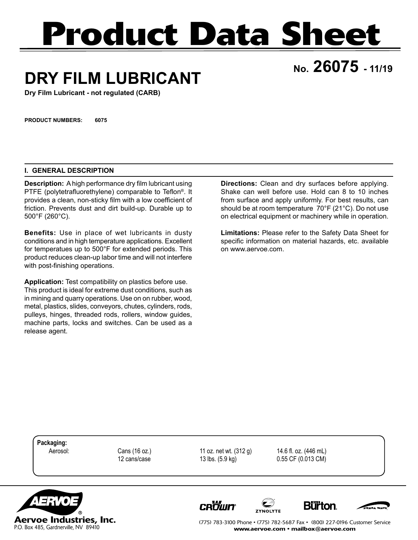# **Product Data Sheet**

## **No. 26075 - 11/19 DRY FILM LUBRICANT**

**Dry Film Lubricant - not regulated (CARB)**

**PRODUCT NUMBERS: 6075**

#### **I. GENERAL DESCRIPTION**

**Description:** A high performance dry film lubricant using PTFE (polytetrafluorethylene) comparable to Teflon®. It provides a clean, non-sticky film with a low coefficient of friction. Prevents dust and dirt build-up. Durable up to 500°F (260°C).

**Benefits:** Use in place of wet lubricants in dusty conditions and in high temperature applications. Excellent for temperatues up to 500°F for extended periods. This product reduces clean-up labor time and will not interfere with post-finishing operations.

**Application:** Test compatibility on plastics before use. This product is ideal for extreme dust conditions, such as in mining and quarry operations. Use on on rubber, wood, metal, plastics, slides, conveyors, chutes, cylinders, rods, pulleys, hinges, threaded rods, rollers, window guides, machine parts, locks and switches. Can be used as a release agent.

**Directions:** Clean and dry surfaces before applying. Shake can well before use. Hold can 8 to 10 inches from surface and apply uniformly. For best results, can should be at room temperature 70°F (21°C). Do not use on electrical equipment or machinery while in operation.

**Limitations:** Please refer to the Safety Data Sheet for specific information on material hazards, etc. available on www.aervoe.com.

**Packaging:**

**CROWN** 

 Aerosol: Cans (16 oz.) 11 oz. net wt. (312 g) 14.6 fl. oz. (446 mL) 12 cans/case 13 lbs. (5.9 kg) 0.55 CF (0.013 CM)



(775) 783-3100 Phone • (775) 782-5687 Fax • (800) 227-0196 Customer Service www.aervoe.com • mailbox@aervoe.com